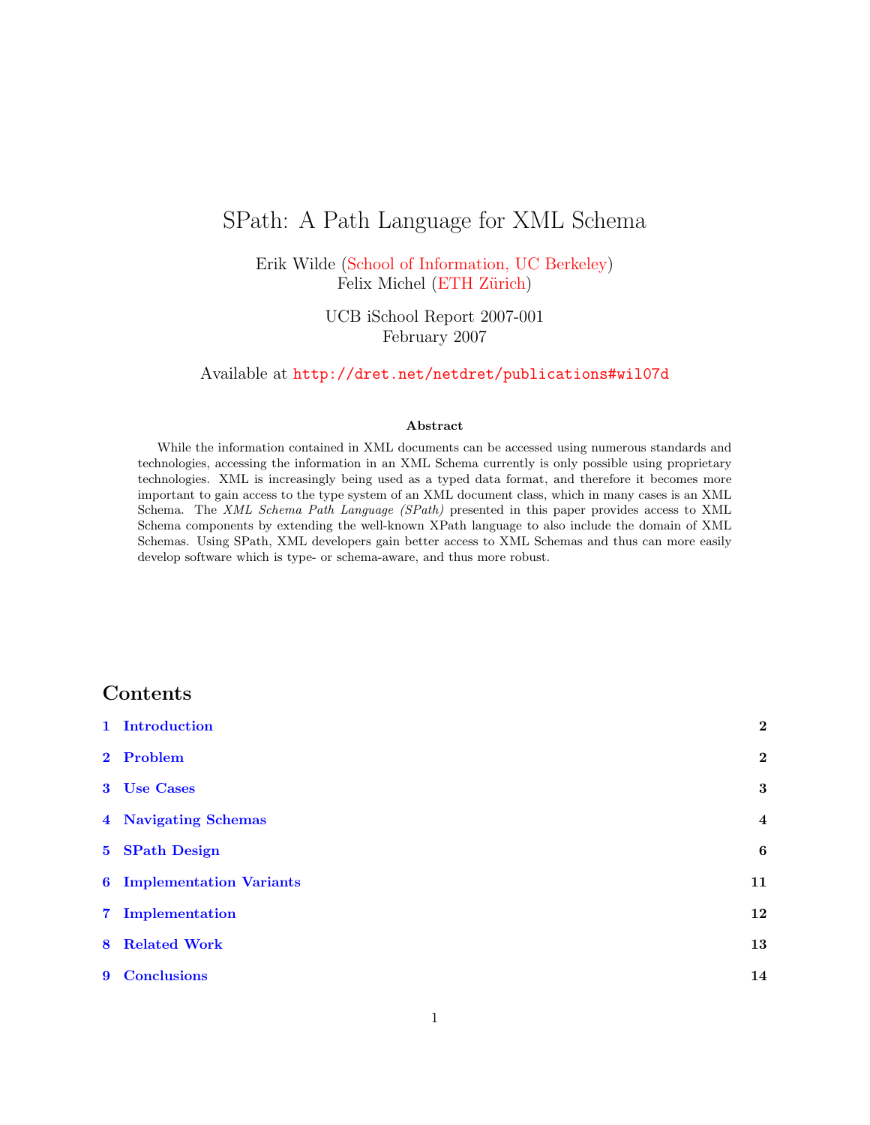# SPath: A Path Language for XML Schema

Erik Wilde [\(School of Information, UC Berkeley\)](http://ischool.berkeley.edu/) Felix Michel (ETH Zürich)

> UCB iSchool Report 2007-001 February 2007

Available at <http://dret.net/netdret/publications#wil07d>

#### Abstract

While the information contained in XML documents can be accessed using numerous standards and technologies, accessing the information in an XML Schema currently is only possible using proprietary technologies. XML is increasingly being used as a typed data format, and therefore it becomes more important to gain access to the type system of an XML document class, which in many cases is an XML Schema. The XML Schema Path Language (SPath) presented in this paper provides access to XML Schema components by extending the well-known XPath language to also include the domain of XML Schemas. Using SPath, XML developers gain better access to XML Schemas and thus can more easily develop software which is type- or schema-aware, and thus more robust.

## Contents

| 1 Introduction                   | $\overline{2}$   |
|----------------------------------|------------------|
| 2 Problem                        | $\boldsymbol{2}$ |
| 3 Use Cases                      | 3                |
| 4 Navigating Schemas             | $\boldsymbol{4}$ |
| 5 SPath Design                   | $\boldsymbol{6}$ |
| <b>6</b> Implementation Variants | 11               |
| 7 Implementation                 | 12               |
| <b>8</b> Related Work            | 13               |
| 9 Conclusions                    | 14               |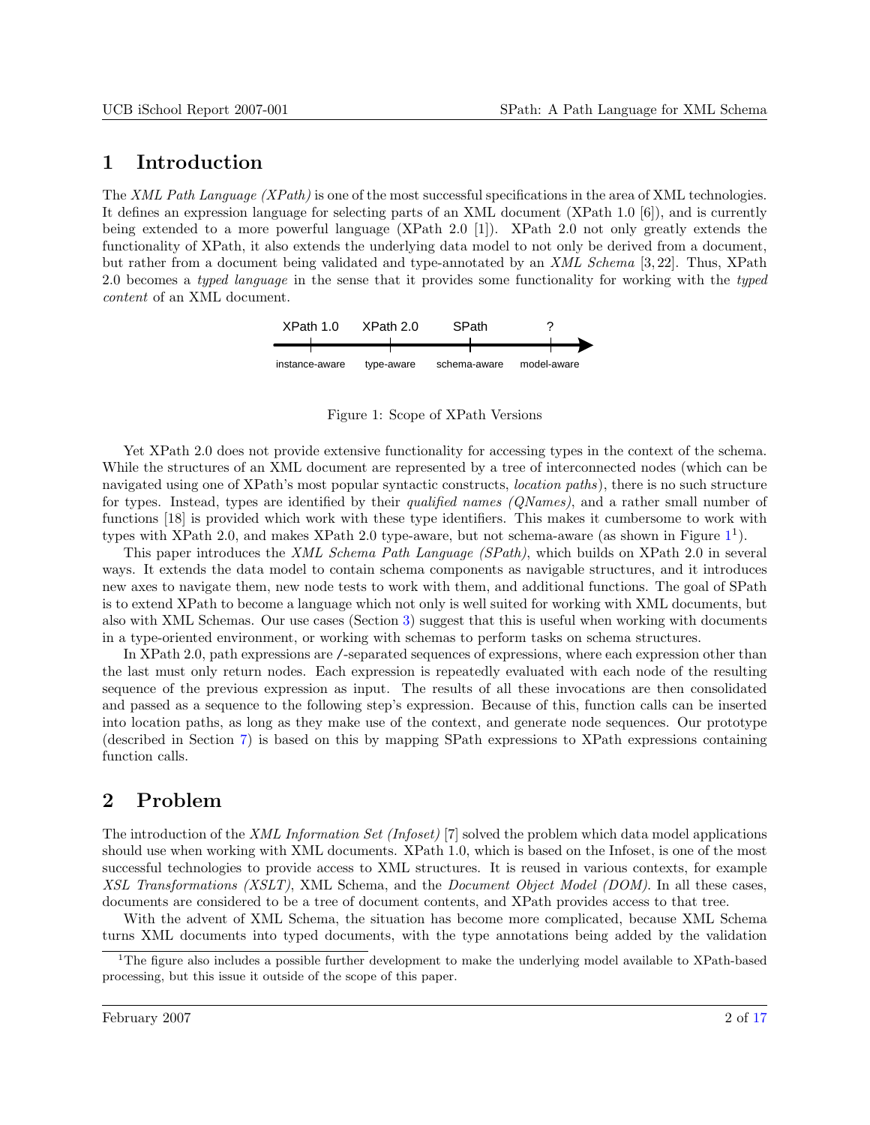## <span id="page-1-0"></span>1 Introduction

The XML Path Language (XPath) is one of the most successful specifications in the area of XML technologies. It defines an expression language for selecting parts of an XML document (XPath 1.0 [6]), and is currently being extended to a more powerful language (XPath 2.0 [1]). XPath 2.0 not only greatly extends the functionality of XPath, it also extends the underlying data model to not only be derived from a document, but rather from a document being validated and type-annotated by an XML Schema [3, 22]. Thus, XPath 2.0 becomes a typed language in the sense that it provides some functionality for working with the typed content of an XML document.



Figure 1: Scope of XPath Versions

Yet XPath 2.0 does not provide extensive functionality for accessing types in the context of the schema. While the structures of an XML document are represented by a tree of interconnected nodes (which can be navigated using one of XPath's most popular syntactic constructs, location paths), there is no such structure for types. Instead, types are identified by their qualified names (QNames), and a rather small number of functions [18] is provided which work with these type identifiers. This makes it cumbersome to work with types with XPath 2.0, and makes XPath 2.0 type-aware, but not schema-aware (as shown in Figure  $1^1$ ).

This paper introduces the *XML Schema Path Language (SPath)*, which builds on XPath 2.0 in several ways. It extends the data model to contain schema components as navigable structures, and it introduces new axes to navigate them, new node tests to work with them, and additional functions. The goal of SPath is to extend XPath to become a language which not only is well suited for working with XML documents, but also with XML Schemas. Our use cases (Section [3\)](#page-2-0) suggest that this is useful when working with documents in a type-oriented environment, or working with schemas to perform tasks on schema structures.

In XPath 2.0, path expressions are /-separated sequences of expressions, where each expression other than the last must only return nodes. Each expression is repeatedly evaluated with each node of the resulting sequence of the previous expression as input. The results of all these invocations are then consolidated and passed as a sequence to the following step's expression. Because of this, function calls can be inserted into location paths, as long as they make use of the context, and generate node sequences. Our prototype (described in Section [7\)](#page-11-0) is based on this by mapping SPath expressions to XPath expressions containing function calls.

## 2 Problem

The introduction of the XML Information Set (Infoset) [7] solved the problem which data model applications should use when working with XML documents. XPath 1.0, which is based on the Infoset, is one of the most successful technologies to provide access to XML structures. It is reused in various contexts, for example XSL Transformations (XSLT), XML Schema, and the *Document Object Model (DOM)*. In all these cases, documents are considered to be a tree of document contents, and XPath provides access to that tree.

With the advent of XML Schema, the situation has become more complicated, because XML Schema turns XML documents into typed documents, with the type annotations being added by the validation

<sup>&</sup>lt;sup>1</sup>The figure also includes a possible further development to make the underlying model available to XPath-based processing, but this issue it outside of the scope of this paper.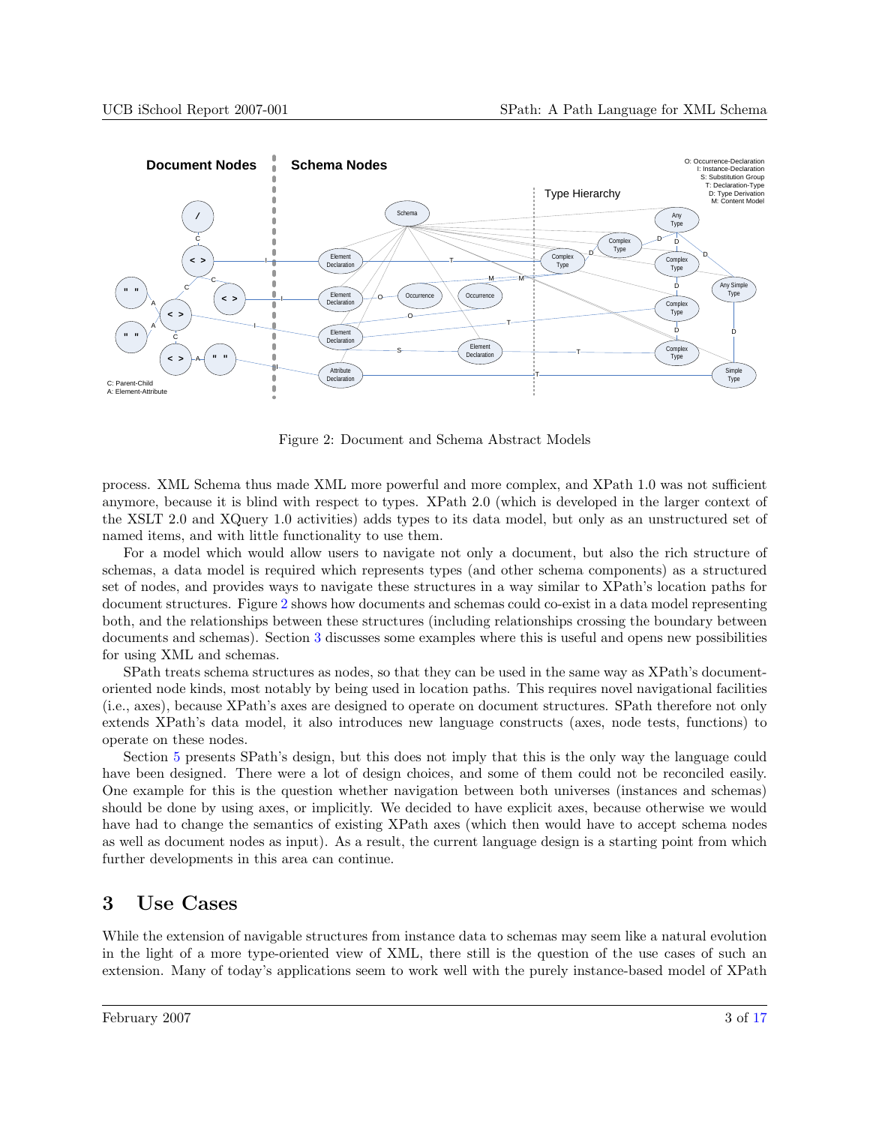<span id="page-2-0"></span>

Figure 2: Document and Schema Abstract Models

process. XML Schema thus made XML more powerful and more complex, and XPath 1.0 was not sufficient anymore, because it is blind with respect to types. XPath 2.0 (which is developed in the larger context of the XSLT 2.0 and XQuery 1.0 activities) adds types to its data model, but only as an unstructured set of named items, and with little functionality to use them.

For a model which would allow users to navigate not only a document, but also the rich structure of schemas, a data model is required which represents types (and other schema components) as a structured set of nodes, and provides ways to navigate these structures in a way similar to XPath's location paths for document structures. Figure 2 shows how documents and schemas could co-exist in a data model representing both, and the relationships between these structures (including relationships crossing the boundary between documents and schemas). Section 3 discusses some examples where this is useful and opens new possibilities for using XML and schemas.

SPath treats schema structures as nodes, so that they can be used in the same way as XPath's documentoriented node kinds, most notably by being used in location paths. This requires novel navigational facilities (i.e., axes), because XPath's axes are designed to operate on document structures. SPath therefore not only extends XPath's data model, it also introduces new language constructs (axes, node tests, functions) to operate on these nodes.

Section [5](#page-5-0) presents SPath's design, but this does not imply that this is the only way the language could have been designed. There were a lot of design choices, and some of them could not be reconciled easily. One example for this is the question whether navigation between both universes (instances and schemas) should be done by using axes, or implicitly. We decided to have explicit axes, because otherwise we would have had to change the semantics of existing XPath axes (which then would have to accept schema nodes as well as document nodes as input). As a result, the current language design is a starting point from which further developments in this area can continue.

## 3 Use Cases

While the extension of navigable structures from instance data to schemas may seem like a natural evolution in the light of a more type-oriented view of XML, there still is the question of the use cases of such an extension. Many of today's applications seem to work well with the purely instance-based model of XPath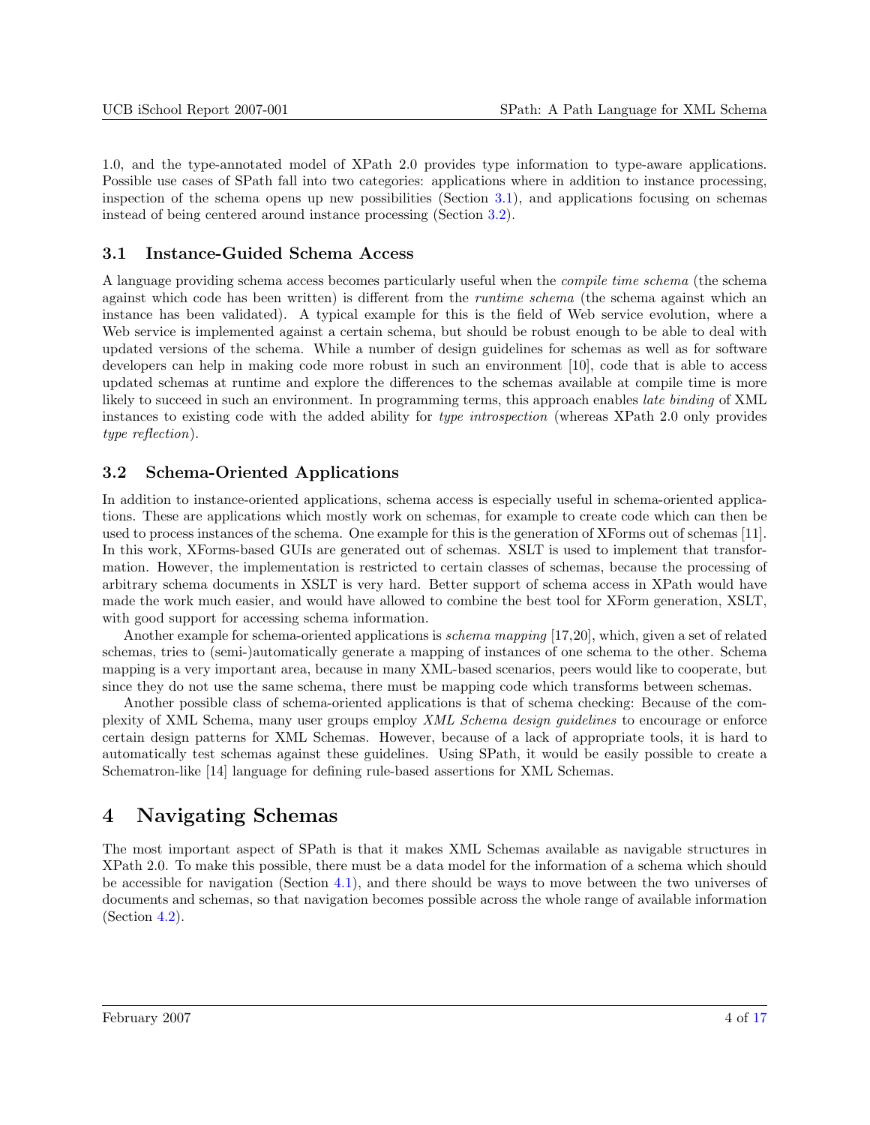<span id="page-3-0"></span>1.0, and the type-annotated model of XPath 2.0 provides type information to type-aware applications. Possible use cases of SPath fall into two categories: applications where in addition to instance processing, inspection of the schema opens up new possibilities (Section 3.1), and applications focusing on schemas instead of being centered around instance processing (Section 3.2).

### 3.1 Instance-Guided Schema Access

A language providing schema access becomes particularly useful when the compile time schema (the schema against which code has been written) is different from the runtime schema (the schema against which an instance has been validated). A typical example for this is the field of Web service evolution, where a Web service is implemented against a certain schema, but should be robust enough to be able to deal with updated versions of the schema. While a number of design guidelines for schemas as well as for software developers can help in making code more robust in such an environment [10], code that is able to access updated schemas at runtime and explore the differences to the schemas available at compile time is more likely to succeed in such an environment. In programming terms, this approach enables late binding of XML instances to existing code with the added ability for type introspection (whereas XPath 2.0 only provides type reflection).

### 3.2 Schema-Oriented Applications

In addition to instance-oriented applications, schema access is especially useful in schema-oriented applications. These are applications which mostly work on schemas, for example to create code which can then be used to process instances of the schema. One example for this is the generation of XForms out of schemas [11]. In this work, XForms-based GUIs are generated out of schemas. XSLT is used to implement that transformation. However, the implementation is restricted to certain classes of schemas, because the processing of arbitrary schema documents in XSLT is very hard. Better support of schema access in XPath would have made the work much easier, and would have allowed to combine the best tool for XForm generation, XSLT, with good support for accessing schema information.

Another example for schema-oriented applications is *schema mapping* [17,20], which, given a set of related schemas, tries to (semi-)automatically generate a mapping of instances of one schema to the other. Schema mapping is a very important area, because in many XML-based scenarios, peers would like to cooperate, but since they do not use the same schema, there must be mapping code which transforms between schemas.

Another possible class of schema-oriented applications is that of schema checking: Because of the complexity of XML Schema, many user groups employ XML Schema design guidelines to encourage or enforce certain design patterns for XML Schemas. However, because of a lack of appropriate tools, it is hard to automatically test schemas against these guidelines. Using SPath, it would be easily possible to create a Schematron-like [14] language for defining rule-based assertions for XML Schemas.

## 4 Navigating Schemas

The most important aspect of SPath is that it makes XML Schemas available as navigable structures in XPath 2.0. To make this possible, there must be a data model for the information of a schema which should be accessible for navigation (Section [4.1\)](#page-4-0), and there should be ways to move between the two universes of documents and schemas, so that navigation becomes possible across the whole range of available information (Section [4.2\)](#page-4-0).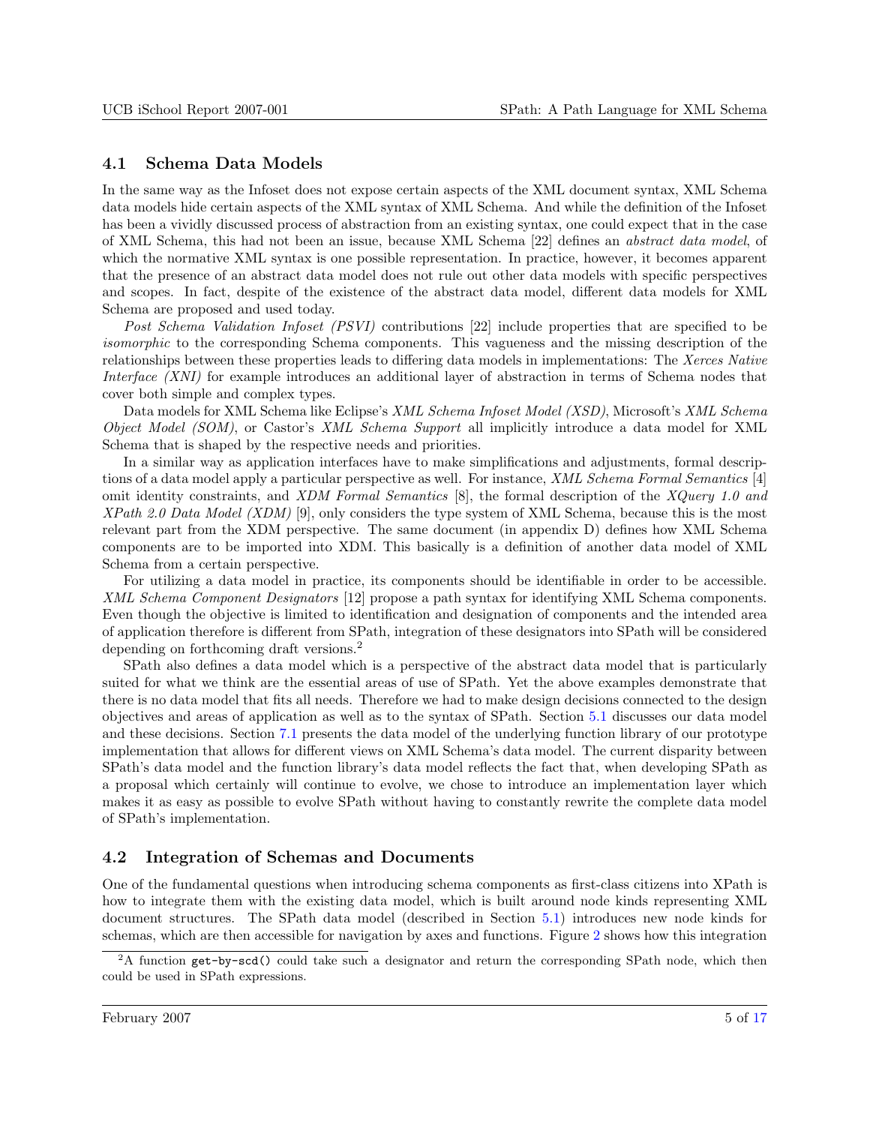### <span id="page-4-0"></span>4.1 Schema Data Models

In the same way as the Infoset does not expose certain aspects of the XML document syntax, XML Schema data models hide certain aspects of the XML syntax of XML Schema. And while the definition of the Infoset has been a vividly discussed process of abstraction from an existing syntax, one could expect that in the case of XML Schema, this had not been an issue, because XML Schema [22] defines an abstract data model, of which the normative XML syntax is one possible representation. In practice, however, it becomes apparent that the presence of an abstract data model does not rule out other data models with specific perspectives and scopes. In fact, despite of the existence of the abstract data model, different data models for XML Schema are proposed and used today.

Post Schema Validation Infoset (PSVI) contributions [22] include properties that are specified to be isomorphic to the corresponding Schema components. This vagueness and the missing description of the relationships between these properties leads to differing data models in implementations: The Xerces Native Interface (XNI) for example introduces an additional layer of abstraction in terms of Schema nodes that cover both simple and complex types.

Data models for XML Schema like Eclipse's XML Schema Infoset Model (XSD), Microsoft's XML Schema Object Model (SOM), or Castor's XML Schema Support all implicitly introduce a data model for XML Schema that is shaped by the respective needs and priorities.

In a similar way as application interfaces have to make simplifications and adjustments, formal descriptions of a data model apply a particular perspective as well. For instance, XML Schema Formal Semantics [4] omit identity constraints, and XDM Formal Semantics [8], the formal description of the XQuery 1.0 and XPath 2.0 Data Model (XDM) [9], only considers the type system of XML Schema, because this is the most relevant part from the XDM perspective. The same document (in appendix D) defines how XML Schema components are to be imported into XDM. This basically is a definition of another data model of XML Schema from a certain perspective.

For utilizing a data model in practice, its components should be identifiable in order to be accessible. XML Schema Component Designators [12] propose a path syntax for identifying XML Schema components. Even though the objective is limited to identification and designation of components and the intended area of application therefore is different from SPath, integration of these designators into SPath will be considered depending on forthcoming draft versions.<sup>2</sup>

SPath also defines a data model which is a perspective of the abstract data model that is particularly suited for what we think are the essential areas of use of SPath. Yet the above examples demonstrate that there is no data model that fits all needs. Therefore we had to make design decisions connected to the design objectives and areas of application as well as to the syntax of SPath. Section [5.1](#page-6-0) discusses our data model and these decisions. Section [7.1](#page-11-0) presents the data model of the underlying function library of our prototype implementation that allows for different views on XML Schema's data model. The current disparity between SPath's data model and the function library's data model reflects the fact that, when developing SPath as a proposal which certainly will continue to evolve, we chose to introduce an implementation layer which makes it as easy as possible to evolve SPath without having to constantly rewrite the complete data model of SPath's implementation.

### 4.2 Integration of Schemas and Documents

One of the fundamental questions when introducing schema components as first-class citizens into XPath is how to integrate them with the existing data model, which is built around node kinds representing XML document structures. The SPath data model (described in Section [5.1\)](#page-6-0) introduces new node kinds for schemas, which are then accessible for navigation by axes and functions. Figure [2](#page-2-0) shows how this integration

<sup>2</sup>A function get-by-scd() could take such a designator and return the corresponding SPath node, which then could be used in SPath expressions.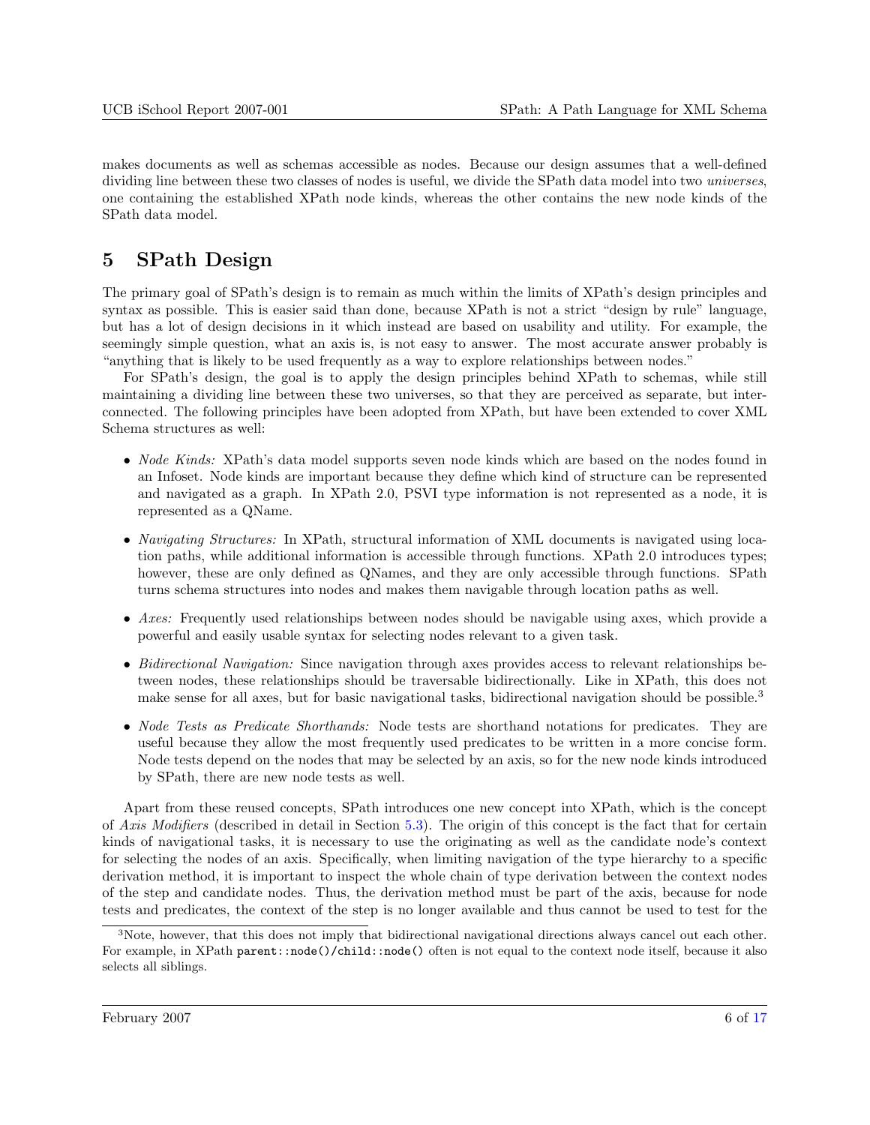<span id="page-5-0"></span>makes documents as well as schemas accessible as nodes. Because our design assumes that a well-defined dividing line between these two classes of nodes is useful, we divide the SPath data model into two *universes*, one containing the established XPath node kinds, whereas the other contains the new node kinds of the SPath data model.

# 5 SPath Design

The primary goal of SPath's design is to remain as much within the limits of XPath's design principles and syntax as possible. This is easier said than done, because XPath is not a strict "design by rule" language, but has a lot of design decisions in it which instead are based on usability and utility. For example, the seemingly simple question, what an axis is, is not easy to answer. The most accurate answer probably is "anything that is likely to be used frequently as a way to explore relationships between nodes."

For SPath's design, the goal is to apply the design principles behind XPath to schemas, while still maintaining a dividing line between these two universes, so that they are perceived as separate, but interconnected. The following principles have been adopted from XPath, but have been extended to cover XML Schema structures as well:

- *Node Kinds:* XPath's data model supports seven node kinds which are based on the nodes found in an Infoset. Node kinds are important because they define which kind of structure can be represented and navigated as a graph. In XPath 2.0, PSVI type information is not represented as a node, it is represented as a QName.
- *Navigating Structures:* In XPath, structural information of XML documents is navigated using location paths, while additional information is accessible through functions. XPath 2.0 introduces types; however, these are only defined as QNames, and they are only accessible through functions. SPath turns schema structures into nodes and makes them navigable through location paths as well.
- Axes: Frequently used relationships between nodes should be navigable using axes, which provide a powerful and easily usable syntax for selecting nodes relevant to a given task.
- Bidirectional Navigation: Since navigation through axes provides access to relevant relationships between nodes, these relationships should be traversable bidirectionally. Like in XPath, this does not make sense for all axes, but for basic navigational tasks, bidirectional navigation should be possible.<sup>3</sup>
- Node Tests as Predicate Shorthands: Node tests are shorthand notations for predicates. They are useful because they allow the most frequently used predicates to be written in a more concise form. Node tests depend on the nodes that may be selected by an axis, so for the new node kinds introduced by SPath, there are new node tests as well.

Apart from these reused concepts, SPath introduces one new concept into XPath, which is the concept of Axis Modifiers (described in detail in Section [5.3\)](#page-8-0). The origin of this concept is the fact that for certain kinds of navigational tasks, it is necessary to use the originating as well as the candidate node's context for selecting the nodes of an axis. Specifically, when limiting navigation of the type hierarchy to a specific derivation method, it is important to inspect the whole chain of type derivation between the context nodes of the step and candidate nodes. Thus, the derivation method must be part of the axis, because for node tests and predicates, the context of the step is no longer available and thus cannot be used to test for the

<sup>3</sup>Note, however, that this does not imply that bidirectional navigational directions always cancel out each other. For example, in XPath parent::node()/child::node() often is not equal to the context node itself, because it also selects all siblings.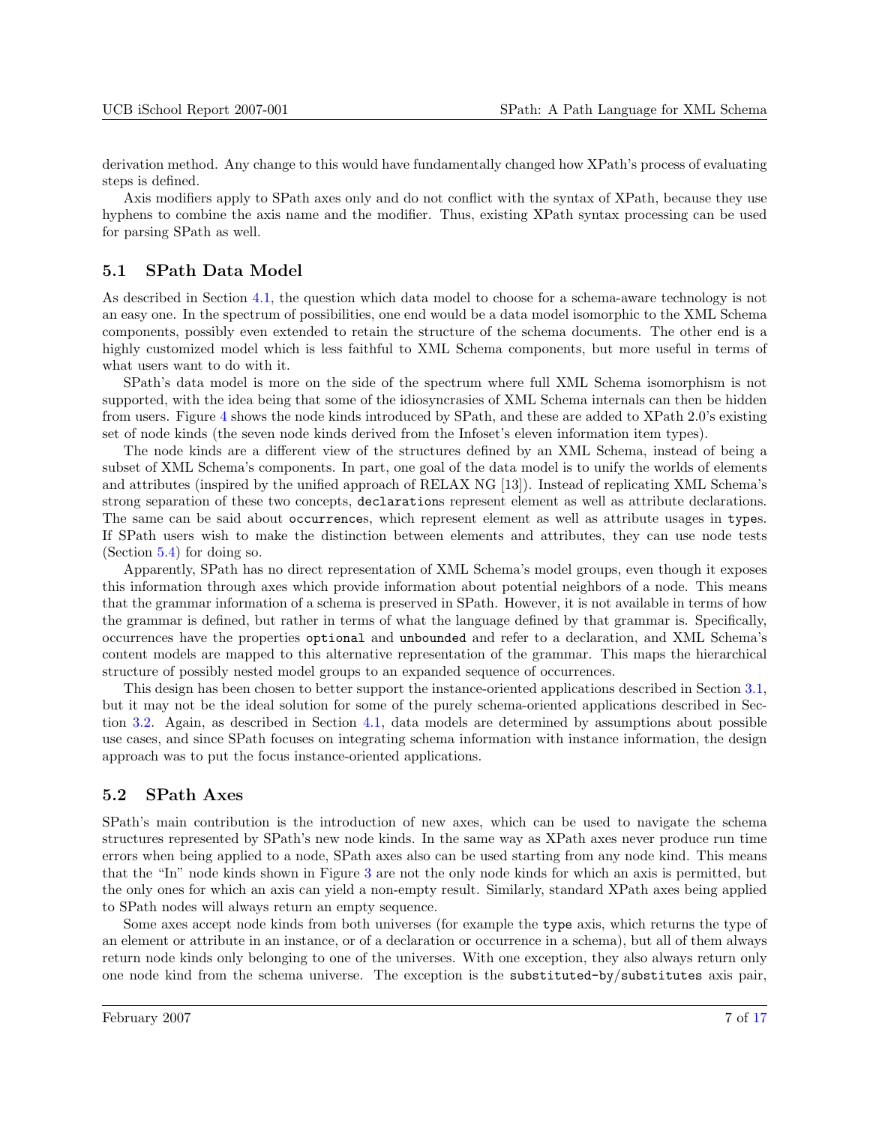<span id="page-6-0"></span>derivation method. Any change to this would have fundamentally changed how XPath's process of evaluating steps is defined.

Axis modifiers apply to SPath axes only and do not conflict with the syntax of XPath, because they use hyphens to combine the axis name and the modifier. Thus, existing XPath syntax processing can be used for parsing SPath as well.

#### 5.1 SPath Data Model

As described in Section [4.1,](#page-4-0) the question which data model to choose for a schema-aware technology is not an easy one. In the spectrum of possibilities, one end would be a data model isomorphic to the XML Schema components, possibly even extended to retain the structure of the schema documents. The other end is a highly customized model which is less faithful to XML Schema components, but more useful in terms of what users want to do with it.

SPath's data model is more on the side of the spectrum where full XML Schema isomorphism is not supported, with the idea being that some of the idiosyncrasies of XML Schema internals can then be hidden from users. Figure [4](#page-8-0) shows the node kinds introduced by SPath, and these are added to XPath 2.0's existing set of node kinds (the seven node kinds derived from the Infoset's eleven information item types).

The node kinds are a different view of the structures defined by an XML Schema, instead of being a subset of XML Schema's components. In part, one goal of the data model is to unify the worlds of elements and attributes (inspired by the unified approach of RELAX NG [13]). Instead of replicating XML Schema's strong separation of these two concepts, declarations represent element as well as attribute declarations. The same can be said about occurrences, which represent element as well as attribute usages in types. If SPath users wish to make the distinction between elements and attributes, they can use node tests (Section [5.4\)](#page-8-0) for doing so.

Apparently, SPath has no direct representation of XML Schema's model groups, even though it exposes this information through axes which provide information about potential neighbors of a node. This means that the grammar information of a schema is preserved in SPath. However, it is not available in terms of how the grammar is defined, but rather in terms of what the language defined by that grammar is. Specifically, occurrences have the properties optional and unbounded and refer to a declaration, and XML Schema's content models are mapped to this alternative representation of the grammar. This maps the hierarchical structure of possibly nested model groups to an expanded sequence of occurrences.

This design has been chosen to better support the instance-oriented applications described in Section [3.1,](#page-3-0) but it may not be the ideal solution for some of the purely schema-oriented applications described in Section [3.2.](#page-3-0) Again, as described in Section [4.1,](#page-4-0) data models are determined by assumptions about possible use cases, and since SPath focuses on integrating schema information with instance information, the design approach was to put the focus instance-oriented applications.

#### 5.2 SPath Axes

SPath's main contribution is the introduction of new axes, which can be used to navigate the schema structures represented by SPath's new node kinds. In the same way as XPath axes never produce run time errors when being applied to a node, SPath axes also can be used starting from any node kind. This means that the "In" node kinds shown in Figure [3](#page-7-0) are not the only node kinds for which an axis is permitted, but the only ones for which an axis can yield a non-empty result. Similarly, standard XPath axes being applied to SPath nodes will always return an empty sequence.

Some axes accept node kinds from both universes (for example the type axis, which returns the type of an element or attribute in an instance, or of a declaration or occurrence in a schema), but all of them always return node kinds only belonging to one of the universes. With one exception, they also always return only one node kind from the schema universe. The exception is the substituted-by/substitutes axis pair,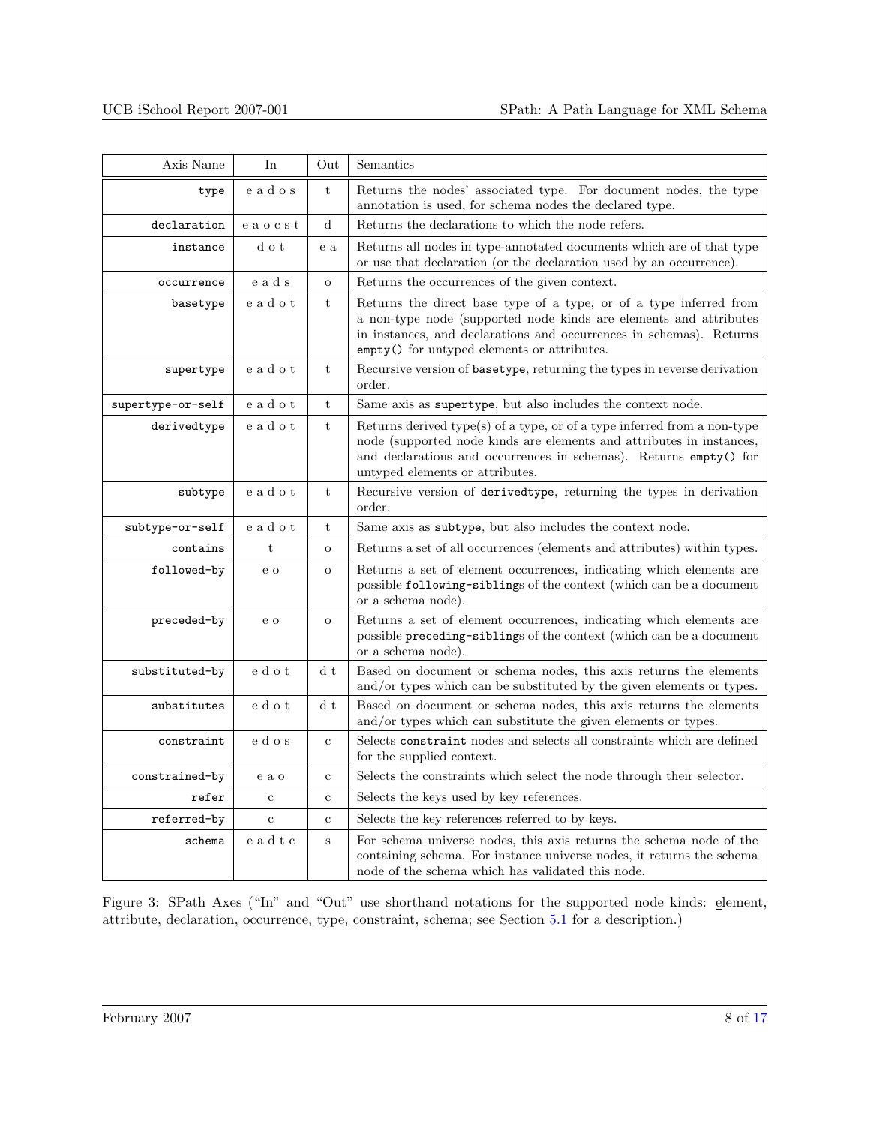<span id="page-7-0"></span>

| Axis Name<br>Semantics<br>In<br>Out |             |                |                                                                                                                                                                                                                                                               |  |
|-------------------------------------|-------------|----------------|---------------------------------------------------------------------------------------------------------------------------------------------------------------------------------------------------------------------------------------------------------------|--|
| type                                | eados       | t              | Returns the nodes' associated type. For document nodes, the type<br>annotation is used, for schema nodes the declared type.                                                                                                                                   |  |
| declaration                         | eaocst      | $\rm d$        | Returns the declarations to which the node refers.                                                                                                                                                                                                            |  |
| instance                            | d o t       | e a            | Returns all nodes in type-annotated documents which are of that type<br>or use that declaration (or the declaration used by an occurrence).                                                                                                                   |  |
| occurrence                          | eads        | $\overline{O}$ | Returns the occurrences of the given context.                                                                                                                                                                                                                 |  |
| basetype                            | eadot       | t              | Returns the direct base type of a type, or of a type inferred from<br>a non-type node (supported node kinds are elements and attributes<br>in instances, and declarations and occurrences in schemas). Returns<br>empty() for untyped elements or attributes. |  |
| supertype                           | eadot       | t              | Recursive version of basetype, returning the types in reverse derivation<br>order.                                                                                                                                                                            |  |
| supertype-or-self                   | eadot       | t              | Same axis as supertype, but also includes the context node.                                                                                                                                                                                                   |  |
| derivedtype                         | eadot       | t              | Returns derived type(s) of a type, or of a type inferred from a non-type<br>node (supported node kinds are elements and attributes in instances,<br>and declarations and occurrences in schemas). Returns empty() for<br>untyped elements or attributes.      |  |
| subtype                             | eadot       | t              | Recursive version of derivedtype, returning the types in derivation<br>order.                                                                                                                                                                                 |  |
| subtype-or-self                     | eadot       | t              | Same axis as subtype, but also includes the context node.                                                                                                                                                                                                     |  |
| contains                            | $\mathbf t$ | $\mathbf O$    | Returns a set of all occurrences (elements and attributes) within types.                                                                                                                                                                                      |  |
| followed-by                         | e o         | $\mathbf{o}$   | Returns a set of element occurrences, indicating which elements are<br>possible following-siblings of the context (which can be a document<br>or a schema node).                                                                                              |  |
| preceded-by                         | e o         | $\mathbf O$    | Returns a set of element occurrences, indicating which elements are<br>possible preceding-siblings of the context (which can be a document<br>or a schema node).                                                                                              |  |
| substituted-by                      | e d o t     | d t            | Based on document or schema nodes, this axis returns the elements<br>and/or types which can be substituted by the given elements or types.                                                                                                                    |  |
| substitutes                         | e d o t     | d t            | Based on document or schema nodes, this axis returns the elements<br>and/or types which can substitute the given elements or types.                                                                                                                           |  |
| constraint                          | e d o s     | $\mathbf c$    | Selects constraint nodes and selects all constraints which are defined<br>for the supplied context.                                                                                                                                                           |  |
| constrained-by                      | e a o       | $\mathbf{c}$   | Selects the constraints which select the node through their selector.                                                                                                                                                                                         |  |
| refer                               | $\mathbf c$ | $\mathbf c$    | Selects the keys used by key references.                                                                                                                                                                                                                      |  |
| referred-by                         | $\mathbf c$ | $\mathbf{C}$   | Selects the key references referred to by keys.                                                                                                                                                                                                               |  |
| schema                              | eadtc       | $\rm S$        | For schema universe nodes, this axis returns the schema node of the<br>containing schema. For instance universe nodes, it returns the schema<br>node of the schema which has validated this node.                                                             |  |

Figure 3: SPath Axes ("In" and "Out" use shorthand notations for the supported node kinds: element, attribute, declaration, occurrence, type, constraint, schema; see Section [5.1](#page-6-0) for a description.)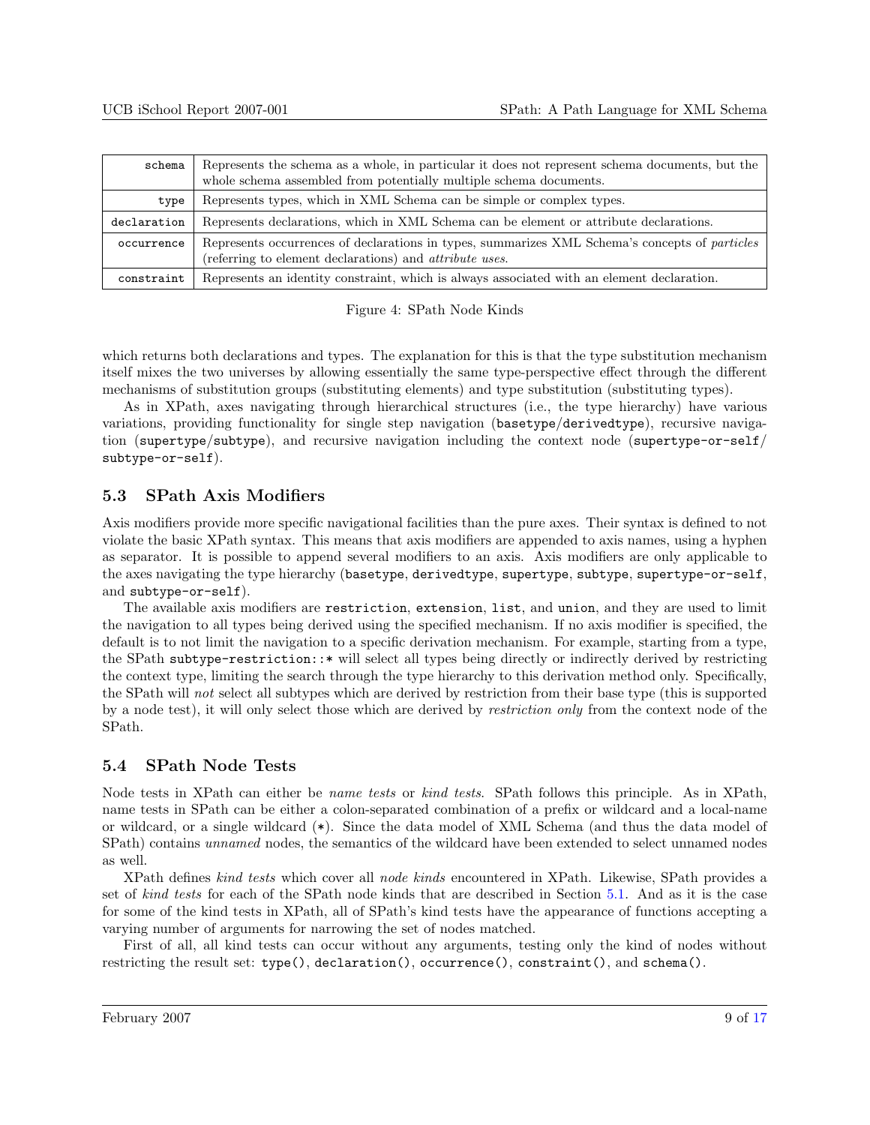<span id="page-8-0"></span>

| schema      | Represents the schema as a whole, in particular it does not represent schema documents, but the<br>whole schema assembled from potentially multiple schema documents. |  |  |  |
|-------------|-----------------------------------------------------------------------------------------------------------------------------------------------------------------------|--|--|--|
| type        | Represents types, which in XML Schema can be simple or complex types.                                                                                                 |  |  |  |
| declaration | Represents declarations, which in XML Schema can be element or attribute declarations.                                                                                |  |  |  |
| occurrence  | Represents occurrences of declarations in types, summarizes XML Schema's concepts of particles<br>(referring to element declarations) and <i>attribute uses</i> .     |  |  |  |
| constraint  | Represents an identity constraint, which is always associated with an element declaration.                                                                            |  |  |  |

Figure 4: SPath Node Kinds

which returns both declarations and types. The explanation for this is that the type substitution mechanism itself mixes the two universes by allowing essentially the same type-perspective effect through the different mechanisms of substitution groups (substituting elements) and type substitution (substituting types).

As in XPath, axes navigating through hierarchical structures (i.e., the type hierarchy) have various variations, providing functionality for single step navigation (basetype/derivedtype), recursive navigation (supertype/subtype), and recursive navigation including the context node (supertype-or-self/ subtype-or-self).

### 5.3 SPath Axis Modifiers

Axis modifiers provide more specific navigational facilities than the pure axes. Their syntax is defined to not violate the basic XPath syntax. This means that axis modifiers are appended to axis names, using a hyphen as separator. It is possible to append several modifiers to an axis. Axis modifiers are only applicable to the axes navigating the type hierarchy (basetype, derivedtype, supertype, subtype, supertype-or-self, and subtype-or-self).

The available axis modifiers are restriction, extension, list, and union, and they are used to limit the navigation to all types being derived using the specified mechanism. If no axis modifier is specified, the default is to not limit the navigation to a specific derivation mechanism. For example, starting from a type, the SPath subtype-restriction::\* will select all types being directly or indirectly derived by restricting the context type, limiting the search through the type hierarchy to this derivation method only. Specifically, the SPath will not select all subtypes which are derived by restriction from their base type (this is supported by a node test), it will only select those which are derived by restriction only from the context node of the SPath.

## 5.4 SPath Node Tests

Node tests in XPath can either be name tests or kind tests. SPath follows this principle. As in XPath, name tests in SPath can be either a colon-separated combination of a prefix or wildcard and a local-name or wildcard, or a single wildcard (\*). Since the data model of XML Schema (and thus the data model of SPath) contains unnamed nodes, the semantics of the wildcard have been extended to select unnamed nodes as well.

XPath defines kind tests which cover all node kinds encountered in XPath. Likewise, SPath provides a set of kind tests for each of the SPath node kinds that are described in Section [5.1.](#page-6-0) And as it is the case for some of the kind tests in XPath, all of SPath's kind tests have the appearance of functions accepting a varying number of arguments for narrowing the set of nodes matched.

First of all, all kind tests can occur without any arguments, testing only the kind of nodes without restricting the result set: type(), declaration(), occurrence(), constraint(), and schema().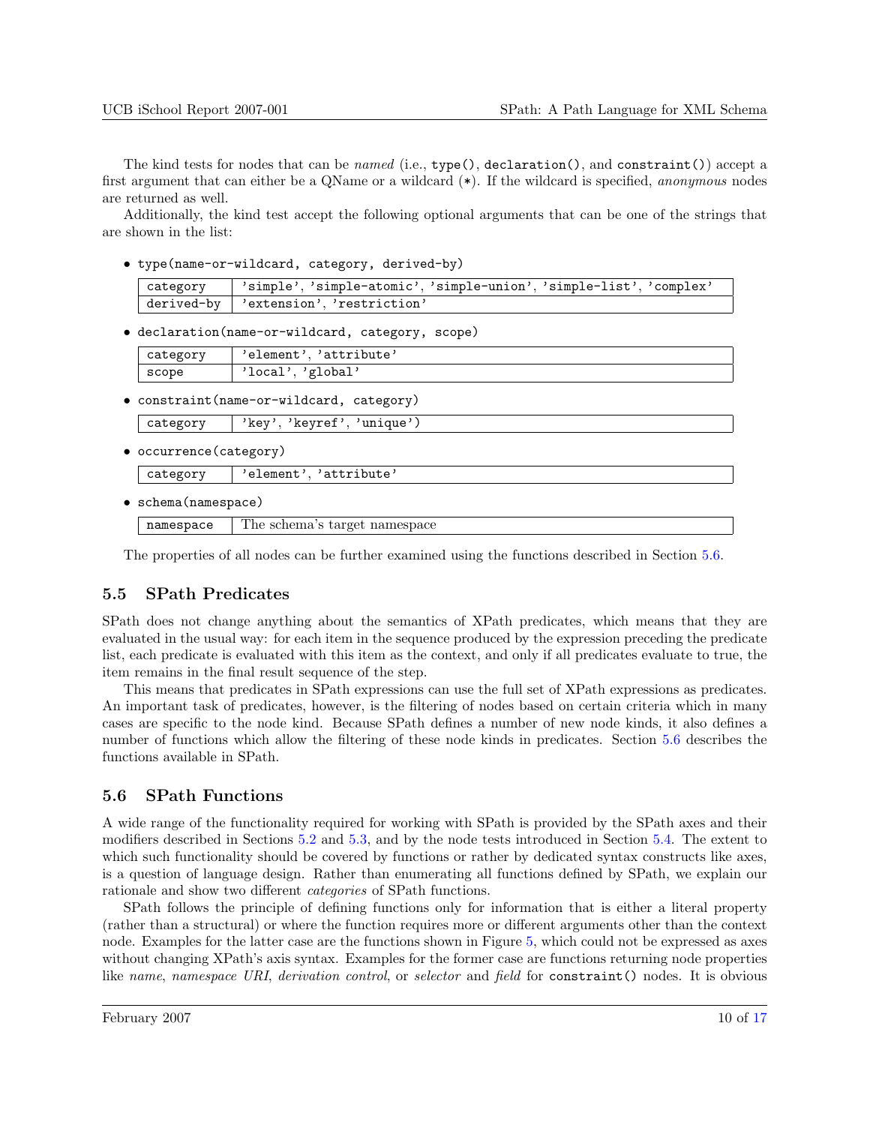<span id="page-9-0"></span>The kind tests for nodes that can be *named* (i.e., type(), declaration(), and constraint()) accept a first argument that can either be a QName or a wildcard (\*). If the wildcard is specified, anonymous nodes are returned as well.

Additionally, the kind test accept the following optional arguments that can be one of the strings that are shown in the list:

• type(name-or-wildcard, category, derived-by)

category 'simple', 'simple-atomic', 'simple-union', 'simple-list', 'complex' derived-by 'extension', 'restriction'

• declaration(name-or-wildcard, category, scope)

| category | / 'element', 'attribute' |  |  |  |
|----------|--------------------------|--|--|--|
| scope    | 'local', 'global'        |  |  |  |

• constraint(name-or-wildcard, category)

| category |  | 'key', 'keyref', 'unique') |
|----------|--|----------------------------|
|          |  |                            |

• occurrence(category)

category | 'element', 'attribute'

• schema(namespace)

namespace The schema's target namespace

The properties of all nodes can be further examined using the functions described in Section 5.6.

## 5.5 SPath Predicates

SPath does not change anything about the semantics of XPath predicates, which means that they are evaluated in the usual way: for each item in the sequence produced by the expression preceding the predicate list, each predicate is evaluated with this item as the context, and only if all predicates evaluate to true, the item remains in the final result sequence of the step.

This means that predicates in SPath expressions can use the full set of XPath expressions as predicates. An important task of predicates, however, is the filtering of nodes based on certain criteria which in many cases are specific to the node kind. Because SPath defines a number of new node kinds, it also defines a number of functions which allow the filtering of these node kinds in predicates. Section 5.6 describes the functions available in SPath.

### 5.6 SPath Functions

A wide range of the functionality required for working with SPath is provided by the SPath axes and their modifiers described in Sections [5.2](#page-6-0) and [5.3,](#page-8-0) and by the node tests introduced in Section [5.4.](#page-8-0) The extent to which such functionality should be covered by functions or rather by dedicated syntax constructs like axes, is a question of language design. Rather than enumerating all functions defined by SPath, we explain our rationale and show two different categories of SPath functions.

SPath follows the principle of defining functions only for information that is either a literal property (rather than a structural) or where the function requires more or different arguments other than the context node. Examples for the latter case are the functions shown in Figure [5,](#page-10-0) which could not be expressed as axes without changing XPath's axis syntax. Examples for the former case are functions returning node properties like name, namespace URI, derivation control, or selector and field for constraint() nodes. It is obvious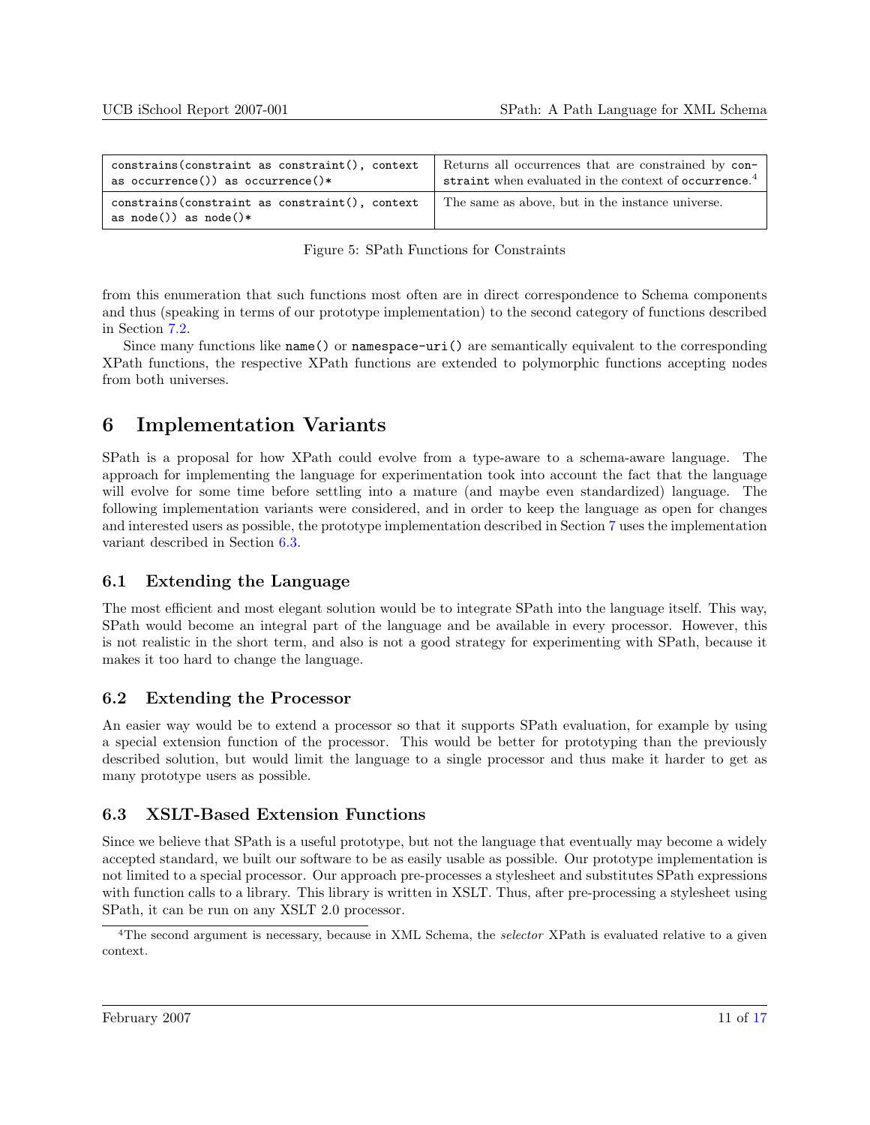<span id="page-10-0"></span>

| constrains (constraint as constraint (), context                                | Returns all occurrences that are constrained by con-              |
|---------------------------------------------------------------------------------|-------------------------------------------------------------------|
| as occurrence()) as occurrence()*                                               | straint when evaluated in the context of occurrence. <sup>4</sup> |
| constrains (constraint as constraint (), context<br>as $node()$ ) as $node()$ * | The same as above, but in the instance universe.                  |

Figure 5: SPath Functions for Constraints

from this enumeration that such functions most often are in direct correspondence to Schema components and thus (speaking in terms of our prototype implementation) to the second category of functions described in Section [7.2.](#page-11-0)

Since many functions like name() or namespace-uri() are semantically equivalent to the corresponding XPath functions, the respective XPath functions are extended to polymorphic functions accepting nodes from both universes.

# 6 Implementation Variants

SPath is a proposal for how XPath could evolve from a type-aware to a schema-aware language. The approach for implementing the language for experimentation took into account the fact that the language will evolve for some time before settling into a mature (and maybe even standardized) language. The following implementation variants were considered, and in order to keep the language as open for changes and interested users as possible, the prototype implementation described in Section [7](#page-11-0) uses the implementation variant described in Section 6.3.

## 6.1 Extending the Language

The most efficient and most elegant solution would be to integrate SPath into the language itself. This way, SPath would become an integral part of the language and be available in every processor. However, this is not realistic in the short term, and also is not a good strategy for experimenting with SPath, because it makes it too hard to change the language.

## 6.2 Extending the Processor

An easier way would be to extend a processor so that it supports SPath evaluation, for example by using a special extension function of the processor. This would be better for prototyping than the previously described solution, but would limit the language to a single processor and thus make it harder to get as many prototype users as possible.

## 6.3 XSLT-Based Extension Functions

Since we believe that SPath is a useful prototype, but not the language that eventually may become a widely accepted standard, we built our software to be as easily usable as possible. Our prototype implementation is not limited to a special processor. Our approach pre-processes a stylesheet and substitutes SPath expressions with function calls to a library. This library is written in XSLT. Thus, after pre-processing a stylesheet using SPath, it can be run on any XSLT 2.0 processor.

<sup>&</sup>lt;sup>4</sup>The second argument is necessary, because in XML Schema, the selector XPath is evaluated relative to a given context.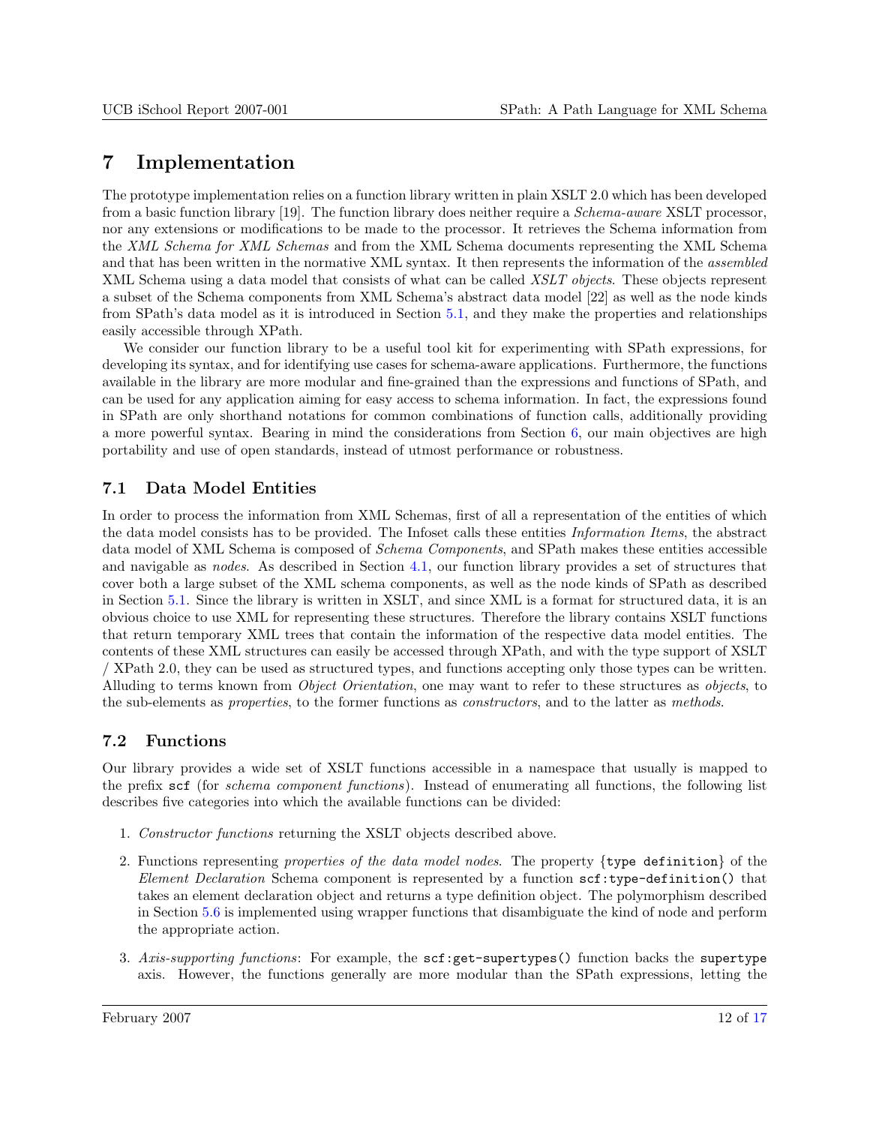## <span id="page-11-0"></span>7 Implementation

The prototype implementation relies on a function library written in plain XSLT 2.0 which has been developed from a basic function library [19]. The function library does neither require a Schema-aware XSLT processor, nor any extensions or modifications to be made to the processor. It retrieves the Schema information from the XML Schema for XML Schemas and from the XML Schema documents representing the XML Schema and that has been written in the normative XML syntax. It then represents the information of the *assembled* XML Schema using a data model that consists of what can be called XSLT objects. These objects represent a subset of the Schema components from XML Schema's abstract data model [22] as well as the node kinds from SPath's data model as it is introduced in Section [5.1,](#page-6-0) and they make the properties and relationships easily accessible through XPath.

We consider our function library to be a useful tool kit for experimenting with SPath expressions, for developing its syntax, and for identifying use cases for schema-aware applications. Furthermore, the functions available in the library are more modular and fine-grained than the expressions and functions of SPath, and can be used for any application aiming for easy access to schema information. In fact, the expressions found in SPath are only shorthand notations for common combinations of function calls, additionally providing a more powerful syntax. Bearing in mind the considerations from Section [6,](#page-10-0) our main objectives are high portability and use of open standards, instead of utmost performance or robustness.

## 7.1 Data Model Entities

In order to process the information from XML Schemas, first of all a representation of the entities of which the data model consists has to be provided. The Infoset calls these entities Information Items, the abstract data model of XML Schema is composed of *Schema Components*, and SPath makes these entities accessible and navigable as nodes. As described in Section [4.1,](#page-4-0) our function library provides a set of structures that cover both a large subset of the XML schema components, as well as the node kinds of SPath as described in Section [5.1.](#page-6-0) Since the library is written in XSLT, and since XML is a format for structured data, it is an obvious choice to use XML for representing these structures. Therefore the library contains XSLT functions that return temporary XML trees that contain the information of the respective data model entities. The contents of these XML structures can easily be accessed through XPath, and with the type support of XSLT / XPath 2.0, they can be used as structured types, and functions accepting only those types can be written. Alluding to terms known from *Object Orientation*, one may want to refer to these structures as *objects*, to the sub-elements as properties, to the former functions as constructors, and to the latter as methods.

## 7.2 Functions

Our library provides a wide set of XSLT functions accessible in a namespace that usually is mapped to the prefix scf (for schema component functions). Instead of enumerating all functions, the following list describes five categories into which the available functions can be divided:

- 1. Constructor functions returning the XSLT objects described above.
- 2. Functions representing properties of the data model nodes. The property {type definition} of the Element Declaration Schema component is represented by a function scf:type-definition() that takes an element declaration object and returns a type definition object. The polymorphism described in Section [5.6](#page-9-0) is implemented using wrapper functions that disambiguate the kind of node and perform the appropriate action.
- 3. Axis-supporting functions: For example, the scf:get-supertypes() function backs the supertype axis. However, the functions generally are more modular than the SPath expressions, letting the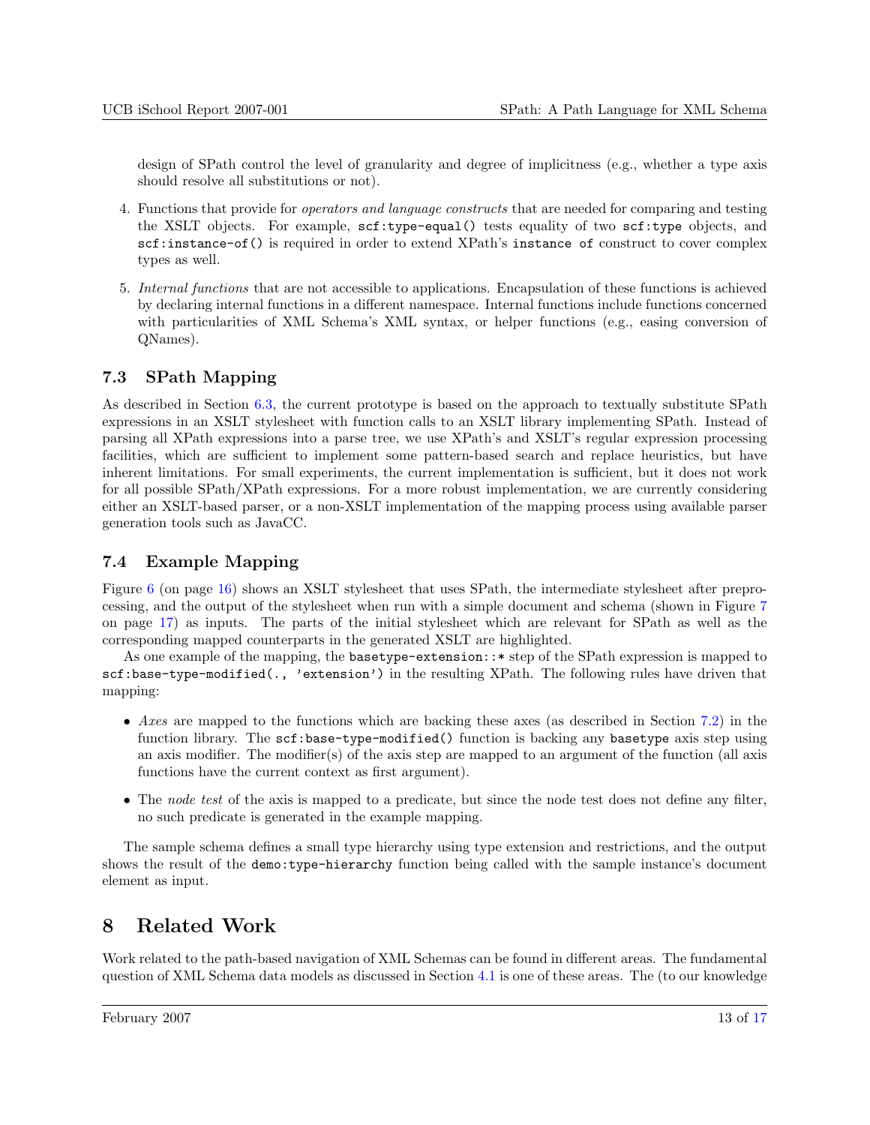<span id="page-12-0"></span>design of SPath control the level of granularity and degree of implicitness (e.g., whether a type axis should resolve all substitutions or not).

- 4. Functions that provide for operators and language constructs that are needed for comparing and testing the XSLT objects. For example, scf:type-equal() tests equality of two scf:type objects, and scf:instance-of() is required in order to extend XPath's instance of construct to cover complex types as well.
- 5. Internal functions that are not accessible to applications. Encapsulation of these functions is achieved by declaring internal functions in a different namespace. Internal functions include functions concerned with particularities of XML Schema's XML syntax, or helper functions (e.g., easing conversion of QNames).

## 7.3 SPath Mapping

As described in Section [6.3,](#page-10-0) the current prototype is based on the approach to textually substitute SPath expressions in an XSLT stylesheet with function calls to an XSLT library implementing SPath. Instead of parsing all XPath expressions into a parse tree, we use XPath's and XSLT's regular expression processing facilities, which are sufficient to implement some pattern-based search and replace heuristics, but have inherent limitations. For small experiments, the current implementation is sufficient, but it does not work for all possible SPath/XPath expressions. For a more robust implementation, we are currently considering either an XSLT-based parser, or a non-XSLT implementation of the mapping process using available parser generation tools such as JavaCC.

## 7.4 Example Mapping

Figure [6](#page-15-0) (on page [16\)](#page-15-0) shows an XSLT stylesheet that uses SPath, the intermediate stylesheet after preprocessing, and the output of the stylesheet when run with a simple document and schema (shown in Figure [7](#page-16-0) on page [17\)](#page-16-0) as inputs. The parts of the initial stylesheet which are relevant for SPath as well as the corresponding mapped counterparts in the generated XSLT are highlighted.

As one example of the mapping, the basetype-extension::\* step of the SPath expression is mapped to scf:base-type-modified(., 'extension') in the resulting XPath. The following rules have driven that mapping:

- Axes are mapped to the functions which are backing these axes (as described in Section [7.2\)](#page-11-0) in the function library. The scf:base-type-modified() function is backing any basetype axis step using an axis modifier. The modifier(s) of the axis step are mapped to an argument of the function (all axis functions have the current context as first argument).
- The node test of the axis is mapped to a predicate, but since the node test does not define any filter, no such predicate is generated in the example mapping.

The sample schema defines a small type hierarchy using type extension and restrictions, and the output shows the result of the demo:type-hierarchy function being called with the sample instance's document element as input.

# 8 Related Work

Work related to the path-based navigation of XML Schemas can be found in different areas. The fundamental question of XML Schema data models as discussed in Section [4.1](#page-4-0) is one of these areas. The (to our knowledge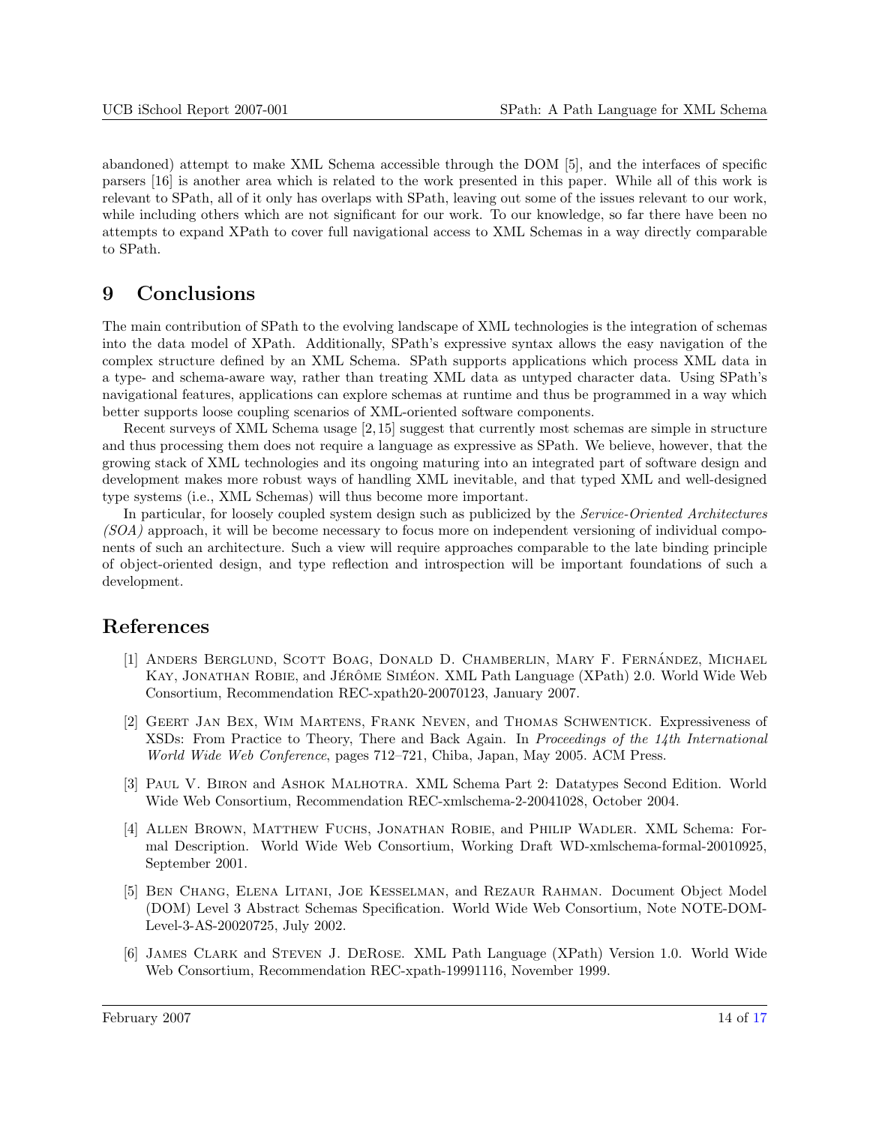<span id="page-13-0"></span>abandoned) attempt to make XML Schema accessible through the DOM [5], and the interfaces of specific parsers [16] is another area which is related to the work presented in this paper. While all of this work is relevant to SPath, all of it only has overlaps with SPath, leaving out some of the issues relevant to our work, while including others which are not significant for our work. To our knowledge, so far there have been no attempts to expand XPath to cover full navigational access to XML Schemas in a way directly comparable to SPath.

## 9 Conclusions

The main contribution of SPath to the evolving landscape of XML technologies is the integration of schemas into the data model of XPath. Additionally, SPath's expressive syntax allows the easy navigation of the complex structure defined by an XML Schema. SPath supports applications which process XML data in a type- and schema-aware way, rather than treating XML data as untyped character data. Using SPath's navigational features, applications can explore schemas at runtime and thus be programmed in a way which better supports loose coupling scenarios of XML-oriented software components.

Recent surveys of XML Schema usage [2, 15] suggest that currently most schemas are simple in structure and thus processing them does not require a language as expressive as SPath. We believe, however, that the growing stack of XML technologies and its ongoing maturing into an integrated part of software design and development makes more robust ways of handling XML inevitable, and that typed XML and well-designed type systems (i.e., XML Schemas) will thus become more important.

In particular, for loosely coupled system design such as publicized by the Service-Oriented Architectures (SOA) approach, it will be become necessary to focus more on independent versioning of individual components of such an architecture. Such a view will require approaches comparable to the late binding principle of object-oriented design, and type reflection and introspection will be important foundations of such a development.

## References

- [1] ANDERS BERGLUND, SCOTT BOAG, DONALD D. CHAMBERLIN, MARY F. FERNANDEZ, MICHAEL KAY, JONATHAN ROBIE, and JÉRÔME SIMÉON. XML Path Language (XPath) 2.0. World Wide Web Consortium, Recommendation REC-xpath20-20070123, January 2007.
- [2] Geert Jan Bex, Wim Martens, Frank Neven, and Thomas Schwentick. Expressiveness of XSDs: From Practice to Theory, There and Back Again. In Proceedings of the 14th International World Wide Web Conference, pages 712–721, Chiba, Japan, May 2005. ACM Press.
- [3] Paul V. Biron and Ashok Malhotra. XML Schema Part 2: Datatypes Second Edition. World Wide Web Consortium, Recommendation REC-xmlschema-2-20041028, October 2004.
- [4] Allen Brown, Matthew Fuchs, Jonathan Robie, and Philip Wadler. XML Schema: Formal Description. World Wide Web Consortium, Working Draft WD-xmlschema-formal-20010925, September 2001.
- [5] Ben Chang, Elena Litani, Joe Kesselman, and Rezaur Rahman. Document Object Model (DOM) Level 3 Abstract Schemas Specification. World Wide Web Consortium, Note NOTE-DOM-Level-3-AS-20020725, July 2002.
- [6] James Clark and Steven J. DeRose. XML Path Language (XPath) Version 1.0. World Wide Web Consortium, Recommendation REC-xpath-19991116, November 1999.

February 2007 14 of [17](#page-16-0)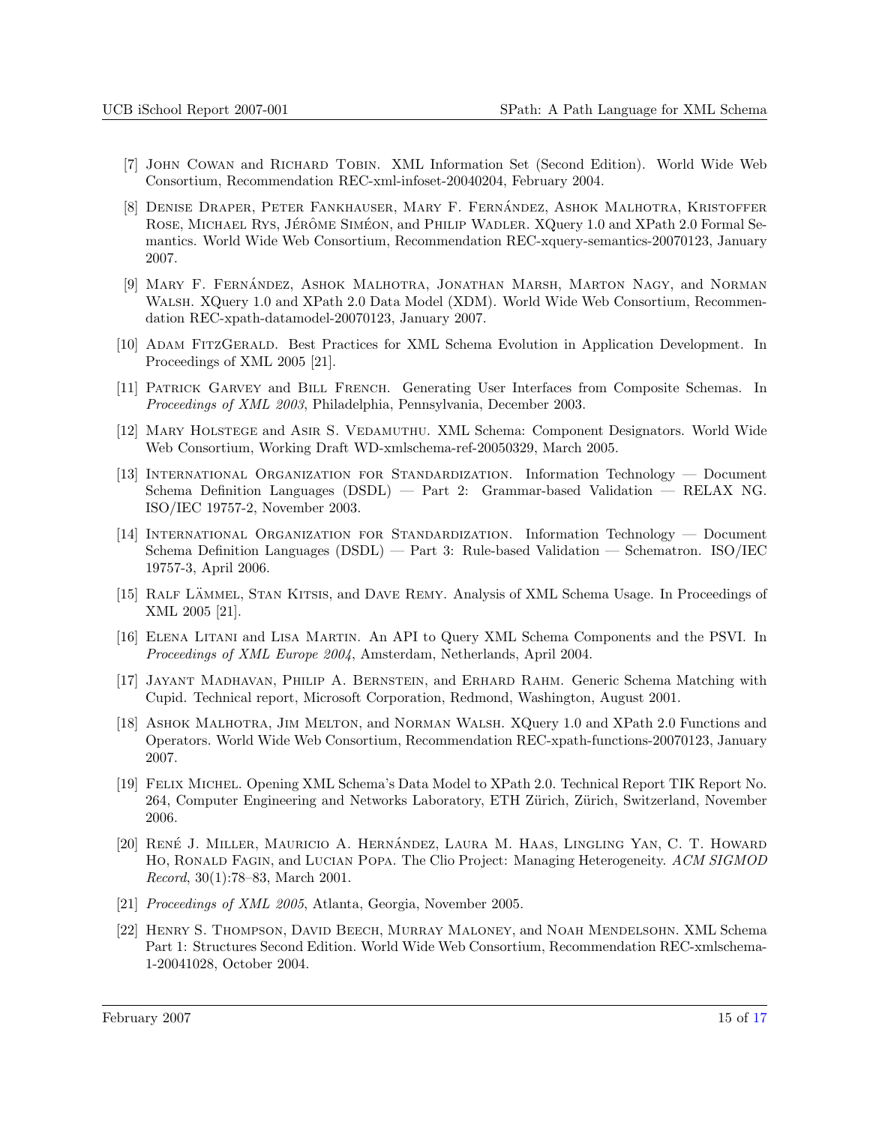- [7] John Cowan and Richard Tobin. XML Information Set (Second Edition). World Wide Web Consortium, Recommendation REC-xml-infoset-20040204, February 2004.
- [8] DENISE DRAPER, PETER FANKHAUSER, MARY F. FERNÁNDEZ, ASHOK MALHOTRA, KRISTOFFER ROSE, MICHAEL RYS, JÉRÔME SIMÉON, and PHILIP WADLER. XQuery 1.0 and XPath 2.0 Formal Semantics. World Wide Web Consortium, Recommendation REC-xquery-semantics-20070123, January 2007.
- [9] MARY F. FERNÁNDEZ, ASHOK MALHOTRA, JONATHAN MARSH, MARTON NAGY, and NORMAN Walsh. XQuery 1.0 and XPath 2.0 Data Model (XDM). World Wide Web Consortium, Recommendation REC-xpath-datamodel-20070123, January 2007.
- [10] Adam FitzGerald. Best Practices for XML Schema Evolution in Application Development. In Proceedings of XML 2005 [21].
- [11] Patrick Garvey and Bill French. Generating User Interfaces from Composite Schemas. In Proceedings of XML 2003, Philadelphia, Pennsylvania, December 2003.
- [12] Mary Holstege and Asir S. Vedamuthu. XML Schema: Component Designators. World Wide Web Consortium, Working Draft WD-xmlschema-ref-20050329, March 2005.
- [13] International Organization for Standardization. Information Technology Document Schema Definition Languages (DSDL) — Part 2: Grammar-based Validation — RELAX NG. ISO/IEC 19757-2, November 2003.
- [14] International Organization for Standardization. Information Technology Document Schema Definition Languages (DSDL) — Part 3: Rule-based Validation — Schematron. ISO/IEC 19757-3, April 2006.
- [15] RALF LÄMMEL, STAN KITSIS, and DAVE REMY. Analysis of XML Schema Usage. In Proceedings of XML 2005 [21].
- [16] Elena Litani and Lisa Martin. An API to Query XML Schema Components and the PSVI. In Proceedings of XML Europe 2004, Amsterdam, Netherlands, April 2004.
- [17] Jayant Madhavan, Philip A. Bernstein, and Erhard Rahm. Generic Schema Matching with Cupid. Technical report, Microsoft Corporation, Redmond, Washington, August 2001.
- [18] ASHOK MALHOTRA, JIM MELTON, and NORMAN WALSH. XQuery 1.0 and XPath 2.0 Functions and Operators. World Wide Web Consortium, Recommendation REC-xpath-functions-20070123, January 2007.
- [19] Felix Michel. Opening XML Schema's Data Model to XPath 2.0. Technical Report TIK Report No. 264, Computer Engineering and Networks Laboratory, ETH Zürich, Zürich, Switzerland, November 2006.
- [20] RENÉ J. MILLER, MAURICIO A. HERNÁNDEZ, LAURA M. HAAS, LINGLING YAN, C. T. HOWARD Ho, Ronald Fagin, and Lucian Popa. The Clio Project: Managing Heterogeneity. ACM SIGMOD Record, 30(1):78–83, March 2001.
- [21] Proceedings of XML 2005, Atlanta, Georgia, November 2005.
- [22] Henry S. Thompson, David Beech, Murray Maloney, and Noah Mendelsohn. XML Schema Part 1: Structures Second Edition. World Wide Web Consortium, Recommendation REC-xmlschema-1-20041028, October 2004.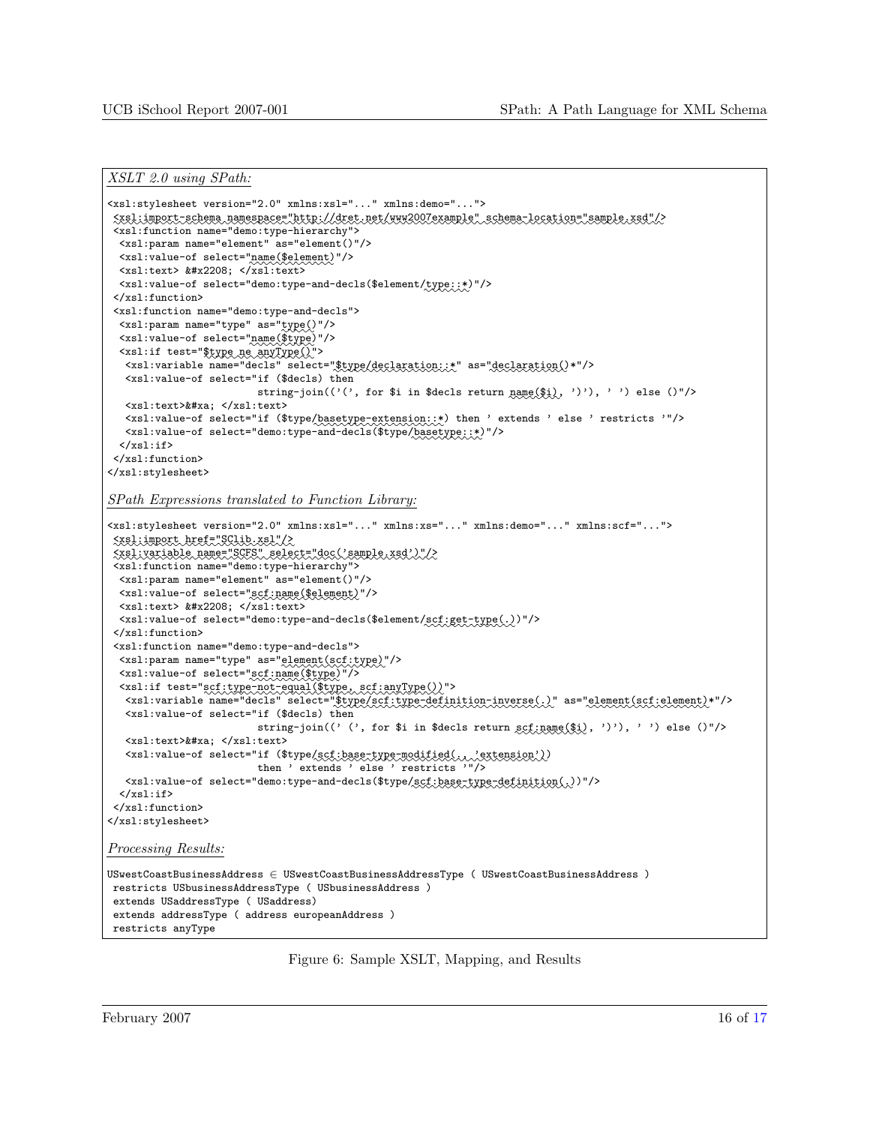```
XSLT 2.0 using SPath:
```

```
<xsl:stylesheet version="2.0" xmlns:xsl="..." xmlns:demo="...">
 :::::::::::::::::<xsl:import-schema ::::::::::::::::::::::::::::::::::::::::namespace="http://dret.net/www2007example" ::::::::::::::::::::::::::::schema-location="sample.xsd"/>

<xsl:function name="demo:type-hierarchy">
 <xsl:param name="element" as="element()"/>
  <xsl:value-of select="name($element)"/>
  <xsl:text> &#x2208; </xsl:text>
  <xsl:value-of select="demo:type-and-decls($element/type::*)"/>
 </xsl:function>
 <xsl:function name="demo:type-and-decls">
  <xsl:param name="type" as="type()"/>
  <xsl:value-of select="name($type)"/>
  <xsl:if test="$type ne anyType()">
   <xsl:variable name="decls" select="$type/declaration::*" as="declaration()*"/>
   <xsl:value-of select="if ($decls) then
                            string-join(('(', for $i in $decls return name($i), ')'), ' ') else ()"/>
   <xsl:text>&#xa; </xsl:text>
   <xsl:value-of select="if ($type/basetype-extension::*) then ' extends ' else ' restricts '"/>
   <xsl:value-of select="demo:type-and-decls($type/basetype::*)"/>
  \langle xsl:if>
</xsl:function>
</xsl:stylesheet>
```
SPath Expressions translated to Function Library:

```
<xsl:stylesheet version="2.0" xmlns:xsl="..." xmlns:xs="..." xmlns:demo="..." xmlns:scf="...">
 ::::::::::<xsl:import::::::::::::::::::href="SClib.xsl"/>

::::::::::::<xsl:variable:::::::::::name="SCFS":::::::::::::::::::::::::::select="doc('sample.xsd')"/>

<xsl:function name="demo:type-hierarchy">
 <xsl:param name="element" as="element()"/>
  <xsl:value-of select="scf:name($element)"/>
 <xsl:text> &#x2208; </xsl:text>
  <xsl:value-of select="demo:type-and-decls($element/scf:get-type(.))"/>
 </xsl:function>
<xsl:function name="demo:type-and-decls">
  <xsl:param name="type" as="element(scf:type)"/>
  <xsl:value-of select="scf:name($type)"/>
  <xsl:if test="scf:type-not-equal($type, scf:anyType())">
   <xsl:variable name="decls" select="$type/scf:type-definition-inverse(.)" as="element(scf:element)*"/>
  <xsl:value-of select="if ($decls) then
                           string-join((' (', for $i in $decls return scf:name($i), ')'), ' ') else ()"/>
   <xsl:text>&#xa; </xsl:text>
   <xsl:value-of select="if ($type/scf:base-type-modified(., 'extension'))

then ' extends ' else ' restricts '"/>
   <xsl:value-of select="demo:type-and-decls($type/scf:base-type-definition(.))"/>
  \langle xs1:if\rangle</xsl:function>
</xsl:stylesheet>
Processing Results:
USwestCoastBusinessAddress ∈ USwestCoastBusinessAddressType ( USwestCoastBusinessAddress )
restricts USbusinessAddressType ( USbusinessAddress )
extends USaddressType ( USaddress)
extends addressType ( address europeanAddress )
restricts anyType
```
Figure 6: Sample XSLT, Mapping, and Results